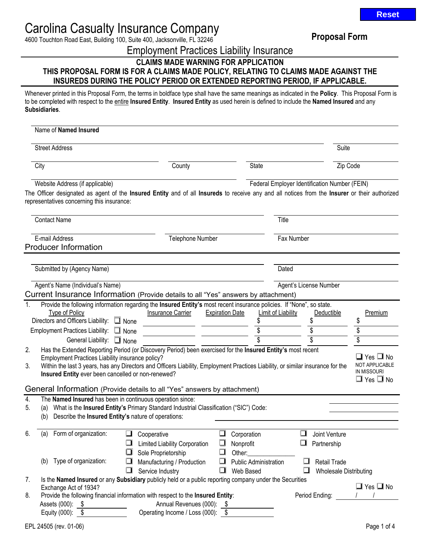4600 Touchton Road East, Building 100, Suite 400, Jacksonville, FL 32246 **Proposal Form** 

Employment Practices Liability Insurance

# **CLAIMS MADE WARNING FOR APPLICATION THIS PROPOSAL FORM IS FOR A CLAIMS MADE POLICY, RELATING TO CLAIMS MADE AGAINST THE INSUREDS DURING THE POLICY PERIOD OR EXTENDED REPORTING PERIOD, IF APPLICABLE.**

Whenever printed in this Proposal Form, the terms in boldface type shall have the same meanings as indicated in the **Policy**. This Proposal Form is to be completed with respect to the entire **Insured Entity**. **Insured Entity** as used herein is defined to include the **Named Insured** and any **Subsidiaries**.

|                |            | Name of Named Insured                                                                                                             |   |                                                                                                                                                                                                                                                |                        |                                    |                        |                                               |                                                                                             |
|----------------|------------|-----------------------------------------------------------------------------------------------------------------------------------|---|------------------------------------------------------------------------------------------------------------------------------------------------------------------------------------------------------------------------------------------------|------------------------|------------------------------------|------------------------|-----------------------------------------------|---------------------------------------------------------------------------------------------|
|                |            | <b>Street Address</b>                                                                                                             |   |                                                                                                                                                                                                                                                |                        |                                    |                        | Suite                                         |                                                                                             |
|                | City       |                                                                                                                                   |   | County                                                                                                                                                                                                                                         |                        | <b>State</b>                       |                        | Zip Code                                      |                                                                                             |
|                |            | Website Address (if applicable)<br>representatives concerning this insurance:                                                     |   | The Officer designated as agent of the Insured Entity and of all Insureds to receive any and all notices from the Insurer or their authorized                                                                                                  |                        |                                    |                        | Federal Employer Identification Number (FEIN) |                                                                                             |
|                |            | <b>Contact Name</b>                                                                                                               |   |                                                                                                                                                                                                                                                |                        |                                    | Title                  |                                               |                                                                                             |
|                |            | E-mail Address<br><b>Producer Information</b>                                                                                     |   | Telephone Number                                                                                                                                                                                                                               |                        |                                    | Fax Number             |                                               |                                                                                             |
|                |            | Submitted by (Agency Name)                                                                                                        |   |                                                                                                                                                                                                                                                |                        |                                    | Dated                  |                                               |                                                                                             |
|                |            | Agent's Name (Individual's Name)                                                                                                  |   | Current Insurance Information (Provide details to all "Yes" answers by attachment)                                                                                                                                                             |                        |                                    | Agent's License Number |                                               |                                                                                             |
| $\mathbf{1}$ . |            | Type of Policy<br>Directors and Officers Liability: None<br>Employment Practices Liability: None                                  |   | Provide the following information regarding the Insured Entity's most recent insurance policies. If "None", so state.<br>Insurance Carrier                                                                                                     | <b>Expiration Date</b> | Limit of Liability<br>\$           |                        | Deductible<br>\$                              | Premium<br>\$<br>\$<br>\$                                                                   |
| 2.<br>3.       |            | General Liability: None<br>Employment Practices Liability insurance policy?<br>Insured Entity ever been cancelled or non-renewed? |   | Has the Extended Reporting Period (or Discovery Period) been exercised for the Insured Entity's most recent<br>Within the last 3 years, has any Directors and Officers Liability, Employment Practices Liability, or similar insurance for the |                        |                                    |                        |                                               | $\Box$ Yes $\Box$ No<br><b>NOT APPLICABLE</b><br><b>IN MISSOURI</b><br>$\Box$ Yes $\Box$ No |
|                |            |                                                                                                                                   |   | General Information (Provide details to all "Yes" answers by attachment)                                                                                                                                                                       |                        |                                    |                        |                                               |                                                                                             |
| 4.<br>5.       | (a)<br>(b) | The Named Insured has been in continuous operation since:<br>Describe the Insured Entity's nature of operations:                  |   | What is the Insured Entity's Primary Standard Industrial Classification ("SIC") Code:                                                                                                                                                          |                        |                                    |                        |                                               |                                                                                             |
| 6.             | (a)        | Form of organization:                                                                                                             | ப | Cooperative<br>Limited Liability Corporation<br>Sole Proprietorship                                                                                                                                                                            | ◻                      | Corporation<br>Nonprofit<br>Other: | ❏                      | Joint Venture<br>Partnership                  |                                                                                             |
|                | (b)        | Type of organization:                                                                                                             | ❏ | Manufacturing / Production<br>Service Industry                                                                                                                                                                                                 | ❏                      | Public Administration<br>Web Based | ப                      | Retail Trade<br><b>Wholesale Distributing</b> |                                                                                             |
| 7.             |            | Exchange Act of 1934?                                                                                                             |   | Is the Named Insured or any Subsidiary publicly held or a public reporting company under the Securities                                                                                                                                        |                        |                                    |                        |                                               | $\Box$ Yes $\Box$ No                                                                        |
| 8.             |            | Assets (000): \$<br>Equity (000): \$                                                                                              |   | Provide the following financial information with respect to the Insured Entity:<br>Annual Revenues (000): \$<br>Operating Income / Loss (000): \$                                                                                              |                        |                                    |                        | Period Ending:                                |                                                                                             |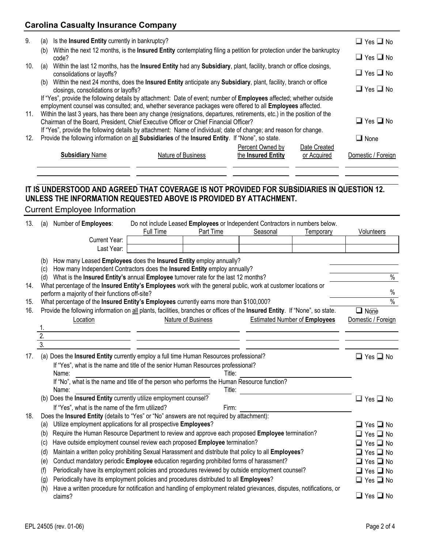| 9.  | (a) | Is the Insured Entity currently in bankruptcy? |                                                                                                                                                                                                                                  |                                        |                             | $\Box$ Yes $\Box$ No |
|-----|-----|------------------------------------------------|----------------------------------------------------------------------------------------------------------------------------------------------------------------------------------------------------------------------------------|----------------------------------------|-----------------------------|----------------------|
|     | (b) | code?                                          | Within the next 12 months, is the <b>Insured Entity</b> contemplating filing a petition for protection under the bankruptcy                                                                                                      |                                        |                             | $\Box$ Yes $\Box$ No |
| 10. | (a) | consolidations or layoffs?                     | Within the last 12 months, has the Insured Entity had any Subsidiary, plant, facility, branch or office closings,                                                                                                                |                                        |                             | $\Box$ Yes $\Box$ No |
|     | (b) | closings, consolidations or layoffs?           | Within the next 24 months, does the <b>Insured Entity</b> anticipate any <b>Subsidiary</b> , plant, facility, branch or office                                                                                                   |                                        |                             | $\Box$ Yes $\Box$ No |
|     |     |                                                | If "Yes", provide the following details by attachment: Date of event; number of Employees affected; whether outside<br>employment counsel was consulted; and, whether severance packages were offered to all Employees affected. |                                        |                             |                      |
| 11. |     |                                                | Within the last 3 years, has there been any change (resignations, departures, retirements, etc.) in the position of the<br>Chairman of the Board, President, Chief Executive Officer or Chief Financial Officer?                 |                                        |                             | $\Box$ Yes $\Box$ No |
| 12. |     |                                                | If "Yes", provide the following details by attachment: Name of individual; date of change; and reason for change.<br>Provide the following information on all Subsidiaries of the Insured Entity. If "None", so state.           |                                        |                             | $\Box$ None          |
|     |     | <b>Subsidiary Name</b>                         | Nature of Business                                                                                                                                                                                                               | Percent Owned by<br>the Insured Entity | Date Created<br>or Acquired | Domestic / Foreign   |
|     |     |                                                |                                                                                                                                                                                                                                  |                                        |                             |                      |

# **IT IS UNDERSTOOD AND AGREED THAT COVERAGE IS NOT PROVIDED FOR SUBSIDIARIES IN QUESTION 12. UNLESS THE INFORMATION REQUESTED ABOVE IS PROVIDED BY ATTACHMENT.**  Current Employee Information

| 13. | (a)                                                                              | Number of <b>Employees:</b>                                                        |           | Do not include Leased Employees or Independent Contractors in numbers below. |          |           |            |
|-----|----------------------------------------------------------------------------------|------------------------------------------------------------------------------------|-----------|------------------------------------------------------------------------------|----------|-----------|------------|
|     |                                                                                  |                                                                                    | Full Time | Part Time                                                                    | Seasonal | Temporary | Volunteers |
|     |                                                                                  | Current Year:                                                                      |           |                                                                              |          |           |            |
|     |                                                                                  | Last Year:                                                                         |           |                                                                              |          |           |            |
|     | How many Leased Employees does the Insured Entity employ annually?<br>(b)        |                                                                                    |           |                                                                              |          |           |            |
|     | How many Independent Contractors does the Insured Entity employ annually?<br>(c) |                                                                                    |           |                                                                              |          |           |            |
|     | (d)                                                                              | What is the Insured Entity's annual Employee turnover rate for the last 12 months? |           |                                                                              |          |           | $\%$       |

| 14. What percentage of the <b>Insured Entity's Employees</b> work with the general public, work at customer locations or |      |
|--------------------------------------------------------------------------------------------------------------------------|------|
| perform a majority of their functions off-site?                                                                          | $\%$ |
| What percentage of the <b>Insured Entity's Employees</b> currently earns more than \$100,000?                            | $\%$ |

| 16. |                                                                                                             |                                                                                                  | Provide the following information on all plants, facilities, branches or offices of the Insured Entity. If "None", so state. | $\Box$ None                                  |  |  |  |
|-----|-------------------------------------------------------------------------------------------------------------|--------------------------------------------------------------------------------------------------|------------------------------------------------------------------------------------------------------------------------------|----------------------------------------------|--|--|--|
|     | Location                                                                                                    | Nature of Business                                                                               | <b>Estimated Number of Employees</b>                                                                                         | Domestic / Foreign                           |  |  |  |
|     |                                                                                                             |                                                                                                  |                                                                                                                              |                                              |  |  |  |
|     | 2.                                                                                                          |                                                                                                  |                                                                                                                              |                                              |  |  |  |
|     | $\overline{3}$ .                                                                                            |                                                                                                  |                                                                                                                              |                                              |  |  |  |
| 17. | (a) Does the Insured Entity currently employ a full time Human Resources professional?                      |                                                                                                  |                                                                                                                              | $\Box$ Yes $\Box$ No                         |  |  |  |
|     | If "Yes", what is the name and title of the senior Human Resources professional?                            |                                                                                                  |                                                                                                                              |                                              |  |  |  |
|     | Name:                                                                                                       |                                                                                                  | Title:                                                                                                                       |                                              |  |  |  |
|     | If "No", what is the name and title of the person who performs the Human Resource function?                 |                                                                                                  |                                                                                                                              |                                              |  |  |  |
|     | Name:                                                                                                       |                                                                                                  | Title:                                                                                                                       |                                              |  |  |  |
|     | (b) Does the Insured Entity currently utilize employment counsel?                                           |                                                                                                  |                                                                                                                              | $\Box$ Yes $\Box$ No                         |  |  |  |
|     | If "Yes", what is the name of the firm utilized?                                                            |                                                                                                  | Firm:                                                                                                                        |                                              |  |  |  |
| 18. | Does the Insured Entity (details to "Yes" or "No" answers are not required by attachment):                  |                                                                                                  |                                                                                                                              |                                              |  |  |  |
|     | Utilize employment applications for all prospective Employees?<br>(a)                                       |                                                                                                  |                                                                                                                              | $\square$ Yes $\square$ No                   |  |  |  |
|     | Require the Human Resource Department to review and approve each proposed Employee termination?<br>(b)      |                                                                                                  |                                                                                                                              |                                              |  |  |  |
|     | Have outside employment counsel review each proposed Employee termination?<br>(c)                           |                                                                                                  |                                                                                                                              |                                              |  |  |  |
|     | Maintain a written policy prohibiting Sexual Harassment and distribute that policy to all Employees?<br>(d) |                                                                                                  |                                                                                                                              |                                              |  |  |  |
|     | Conduct mandatory periodic Employee education regarding prohibited forms of harassment?<br>(e)              |                                                                                                  |                                                                                                                              |                                              |  |  |  |
|     | (t)                                                                                                         | Periodically have its employment policies and procedures reviewed by outside employment counsel? |                                                                                                                              | $\Box$ Yes $\Box$ No<br>$\Box$ Yes $\Box$ No |  |  |  |
|     |                                                                                                             |                                                                                                  |                                                                                                                              |                                              |  |  |  |

(g) Periodically have its employment policies and procedures distributed to all **Employees**? <br>
<br>
Q Yes **Q** No

| (h) Have a written procedure for notification and handling of employment related grievances, disputes, notifications, or |                      |
|--------------------------------------------------------------------------------------------------------------------------|----------------------|
| claims?                                                                                                                  | $\Box$ Yes $\Box$ No |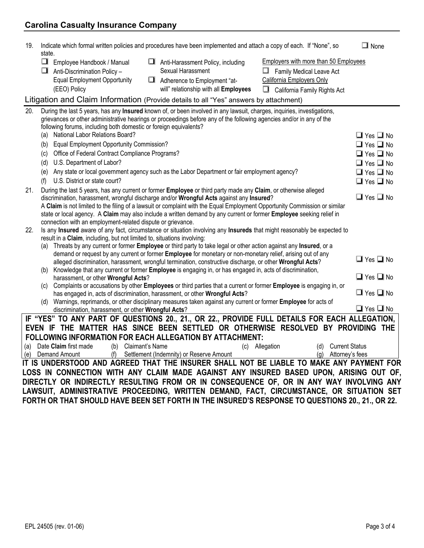| 19. | state.                                                                                                      | Indicate which formal written policies and procedures have been implemented and attach a copy of each. If "None", so                                                                                                  | $\Box$ None          |
|-----|-------------------------------------------------------------------------------------------------------------|-----------------------------------------------------------------------------------------------------------------------------------------------------------------------------------------------------------------------|----------------------|
|     | ◘<br>Employee Handbook / Manual<br>Anti-Discrimination Policy -                                             | Employers with more than 50 Employees<br>Anti-Harassment Policy, including<br>Sexual Harassment<br>$\Box$ Family Medical Leave Act                                                                                    |                      |
|     | <b>Equal Employment Opportunity</b><br>(EEO) Policy                                                         | <b>California Employers Only</b><br>Adherence to Employment "at-<br>will" relationship with all Employees<br>California Family Rights Act<br>□                                                                        |                      |
|     |                                                                                                             | Litigation and Claim Information (Provide details to all "Yes" answers by attachment)                                                                                                                                 |                      |
| 20. |                                                                                                             | During the last 5 years, has any Insured known of, or been involved in any lawsuit, charges, inquiries, investigations,                                                                                               |                      |
|     |                                                                                                             | grievances or other administrative hearings or proceedings before any of the following agencies and/or in any of the                                                                                                  |                      |
|     | following forums, including both domestic or foreign equivalents?<br>National Labor Relations Board?<br>(a) |                                                                                                                                                                                                                       | $\Box$ Yes $\Box$ No |
|     | <b>Equal Employment Opportunity Commission?</b><br>(b)                                                      |                                                                                                                                                                                                                       | $\Box$ Yes $\Box$ No |
|     | Office of Federal Contract Compliance Programs?<br>(c)                                                      |                                                                                                                                                                                                                       | $\Box$ Yes $\Box$ No |
|     | U.S. Department of Labor?<br>(d)                                                                            |                                                                                                                                                                                                                       | $\Box$ Yes $\Box$ No |
|     | (e)                                                                                                         | Any state or local government agency such as the Labor Department or fair employment agency?                                                                                                                          | $\Box$ Yes $\Box$ No |
|     | U.S. District or state court?<br>(f)                                                                        |                                                                                                                                                                                                                       | $\Box$ Yes $\Box$ No |
| 21. |                                                                                                             | During the last 5 years, has any current or former Employee or third party made any Claim, or otherwise alleged                                                                                                       |                      |
|     |                                                                                                             | discrimination, harassment, wrongful discharge and/or Wrongful Acts against any Insured?                                                                                                                              | $\Box$ Yes $\Box$ No |
|     |                                                                                                             | A Claim is not limited to the filing of a lawsuit or complaint with the Equal Employment Opportunity Commission or similar                                                                                            |                      |
|     | connection with an employment-related dispute or grievance.                                                 | state or local agency. A Claim may also include a written demand by any current or former Employee seeking relief in                                                                                                  |                      |
| 22. |                                                                                                             | Is any Insured aware of any fact, circumstance or situation involving any Insureds that might reasonably be expected to                                                                                               |                      |
|     | result in a Claim, including, but not limited to, situations involving:                                     |                                                                                                                                                                                                                       |                      |
|     | (a)                                                                                                         | Threats by any current or former Employee or third party to take legal or other action against any Insured, or a                                                                                                      |                      |
|     |                                                                                                             | demand or request by any current or former Employee for monetary or non-monetary relief, arising out of any                                                                                                           | $\Box$ Yes $\Box$ No |
|     | (b)                                                                                                         | alleged discrimination, harassment, wrongful termination, constructive discharge, or other Wrongful Acts?<br>Knowledge that any current or former Employee is engaging in, or has engaged in, acts of discrimination, |                      |
|     | harassment, or other Wrongful Acts?                                                                         |                                                                                                                                                                                                                       | $\Box$ Yes $\Box$ No |
|     | (C)                                                                                                         | Complaints or accusations by other Employees or third parties that a current or former Employee is engaging in, or                                                                                                    |                      |
|     |                                                                                                             | has engaged in, acts of discrimination, harassment, or other Wrongful Acts?                                                                                                                                           | $\Box$ Yes $\Box$ No |
|     | (d)                                                                                                         | Warnings, reprimands, or other disciplinary measures taken against any current or former Employee for acts of                                                                                                         | $\Box$ Yes $\Box$ No |
|     | discrimination, harassment, or other Wrongful Acts?                                                         | IF "YES" TO ANY PART OF QUESTIONS 20., 21., OR 22., PROVIDE FULL DETAILS FOR EACH ALLEGATION,                                                                                                                         |                      |
|     |                                                                                                             | EVEN IF THE MATTER HAS SINCE BEEN SETTLED OR OTHERWISE RESOLVED BY PROVIDING THE                                                                                                                                      |                      |
|     |                                                                                                             | <b>FOLLOWING INFORMATION FOR EACH ALLEGATION BY ATTACHMENT:</b>                                                                                                                                                       |                      |
|     | (a) Date Claim first made<br>(b) Claimant's Name                                                            | (d) Current Status<br>(c) Allegation                                                                                                                                                                                  |                      |
|     | (e) Demand Amount (f) Settlement (Indemnity) or Reserve Amount                                              | (g) Attorney's fees                                                                                                                                                                                                   |                      |
|     |                                                                                                             | IT IS UNDERSTOOD AND AGREED THAT THE INSURER SHALL NOT BE LIABLE TO MAKE ANY PAYMENT FOR                                                                                                                              |                      |
|     |                                                                                                             | LOSS IN CONNECTION WITH ANY CLAIM MADE AGAINST ANY INSURED BASED UPON, ARISING OUT OF,                                                                                                                                |                      |
|     |                                                                                                             | DIRECTLY OR INDIRECTLY RESULTING FROM OR IN CONSEQUENCE OF, OR IN ANY WAY INVOLVING ANY                                                                                                                               |                      |
|     |                                                                                                             | LAWSUIT, ADMINISTRATIVE PROCEEDING, WRITTEN DEMAND, FACT, CIRCUMSTANCE, OR SITUATION SET                                                                                                                              |                      |
|     |                                                                                                             | FORTH OR THAT SHOULD HAVE BEEN SET FORTH IN THE INSURED'S RESPONSE TO QUESTIONS 20., 21., OR 22.                                                                                                                      |                      |